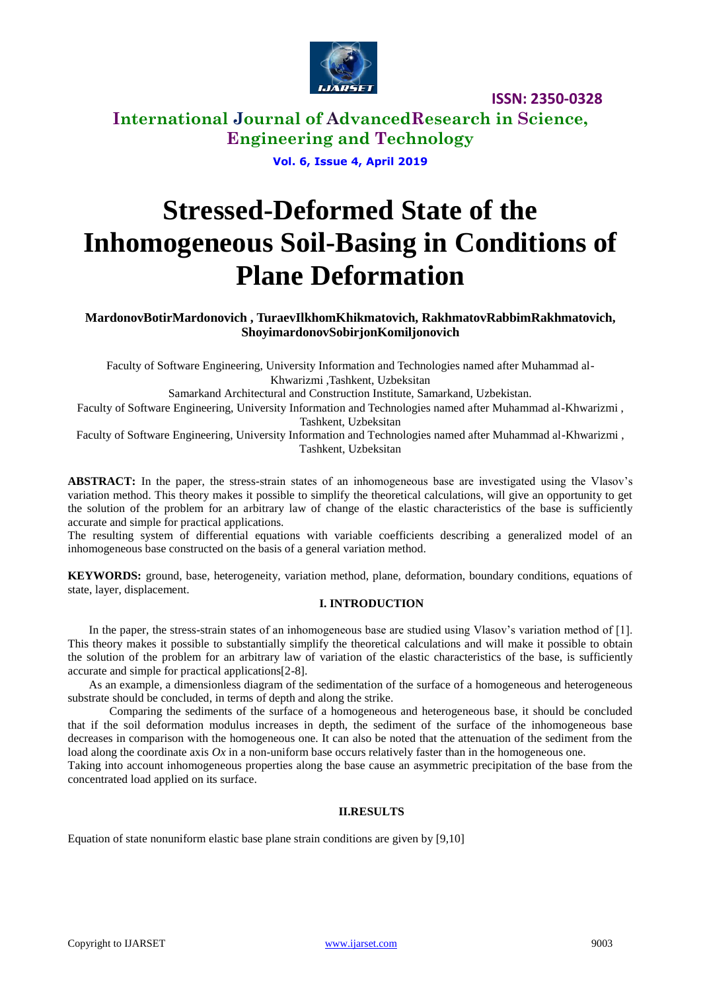

**International Journal of AdvancedResearch in Science, Engineering and Technology**

## **Vol. 6, Issue 4, April 2019**

# **Stressed-Deformed State of the Inhomogeneous Soil-Basing in Conditions of Plane Deformation**

**MardonovBotirMardonovich , TuraevIlkhomKhikmatovich, RakhmatovRabbimRakhmatovich, ShoyimardonovSobirjonKomiljonovich**

Faculty of Software Engineering, University Information and Technologies named after Muhammad al-Khwarizmi ,Tashkent, Uzbeksitan

Samarkand Architectural and Construction Institute, Samarkand, Uzbekistan.

Faculty of Software Engineering, University Information and Technologies named after Muhammad al-Khwarizmi , Tashkent, Uzbeksitan

Faculty of Software Engineering, University Information and Technologies named after Muhammad al-Khwarizmi , Tashkent, Uzbeksitan

**ABSTRACT:** In the paper, the stress-strain states of an inhomogeneous base are investigated using the Vlasov's variation method. This theory makes it possible to simplify the theoretical calculations, will give an opportunity to get the solution of the problem for an arbitrary law of change of the elastic characteristics of the base is sufficiently accurate and simple for practical applications.

The resulting system of differential equations with variable coefficients describing a generalized model of an inhomogeneous base constructed on the basis of a general variation method.

**KEYWORDS:** ground, base, heterogeneity, variation method, plane, deformation, boundary conditions, equations of state, layer, displacement.

### **I. INTRODUCTION**

In the paper, the stress-strain states of an inhomogeneous base are studied using Vlasov's variation method of [1]. This theory makes it possible to substantially simplify the theoretical calculations and will make it possible to obtain the solution of the problem for an arbitrary law of variation of the elastic characteristics of the base, is sufficiently accurate and simple for practical applications[2-8].

As an example, a dimensionless diagram of the sedimentation of the surface of a homogeneous and heterogeneous substrate should be concluded, in terms of depth and along the strike.

Comparing the sediments of the surface of a homogeneous and heterogeneous base, it should be concluded that if the soil deformation modulus increases in depth, the sediment of the surface of the inhomogeneous base decreases in comparison with the homogeneous one. It can also be noted that the attenuation of the sediment from the load along the coordinate axis *Ox* in a non-uniform base occurs relatively faster than in the homogeneous one.

Taking into account inhomogeneous properties along the base cause an asymmetric precipitation of the base from the concentrated load applied on its surface.

### **II.RESULTS**

Equation of state nonuniform elastic base plane strain conditions are given by [9,10]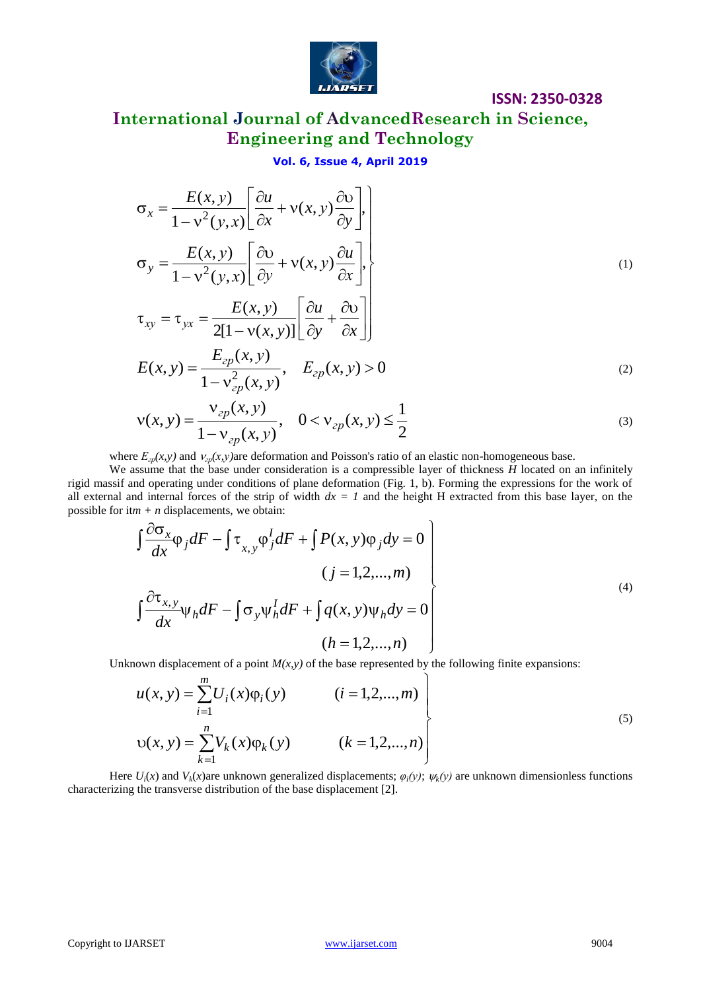

# **International Journal of AdvancedResearch in Science, Engineering and Technology**

## **Vol. 6, Issue 4, April 2019**

$$
\sigma_x = \frac{E(x, y)}{1 - v^2(y, x)} \left[ \frac{\partial u}{\partial x} + v(x, y) \frac{\partial v}{\partial y} \right],
$$
  
\n
$$
\sigma_y = \frac{E(x, y)}{1 - v^2(y, x)} \left[ \frac{\partial v}{\partial y} + v(x, y) \frac{\partial u}{\partial x} \right],
$$
  
\n
$$
\tau_{xy} = \tau_{yx} = \frac{E(x, y)}{2[1 - v(x, y)]} \left[ \frac{\partial u}{\partial y} + \frac{\partial v}{\partial x} \right]
$$
  
\n
$$
E(x, y) = \frac{E_{2p}(x, y)}{E(x, y)} \left[ \frac{E(x, y)}{\partial y} + \frac{\partial v}{\partial y} \right]
$$
 (2)

$$
E(x, y) = \frac{E_{zp}(x, y)}{1 - v_{zp}^2(x, y)}, \quad E_{zp}(x, y) > 0
$$
\n(2)

$$
v(x, y) = \frac{v_{zp}(x, y)}{1 - v_{zp}(x, y)}, \quad 0 < v_{zp}(x, y) \le \frac{1}{2}
$$
 (3)

where  $E_{2p}(x, y)$  and  $v_{2p}(x, y)$ are deformation and Poisson's ratio of an elastic non-homogeneous base.

We assume that the base under consideration is a compressible layer of thickness *H* located on an infinitely rigid massif and operating under conditions of plane deformation (Fig. 1, b). Forming the expressions for the work of all external and internal forces of the strip of width  $dx = 1$  and the height H extracted from this base layer, on the possible for it $m + n$  displacements, we obtain:

$$
\int \frac{\partial \sigma_x}{\partial x} \varphi_j dF - \int \tau_{x,y} \varphi_j^I dF + \int P(x,y) \varphi_j dy = 0
$$
\n
$$
(j = 1,2,...,m)
$$
\n
$$
\int \frac{\partial \tau_{x,y}}{\partial x} \psi_h dF - \int \sigma_y \psi_h^I dF + \int q(x,y) \psi_h dy = 0
$$
\n
$$
(h = 1,2,...,n)
$$
\n(4)

Unknown displacement of a point  $M(x, y)$  of the base represented by the following finite expansions:

$$
u(x, y) = \sum_{i=1}^{m} U_i(x)\varphi_i(y)
$$
  $(i = 1, 2, ..., m)$   

$$
v(x, y) = \sum_{k=1}^{n} V_k(x)\varphi_k(y)
$$
  $(k = 1, 2, ..., n)$  (5)

Here  $U_i(x)$  and  $V_k(x)$  are unknown generalized displacements;  $\varphi_i(y)$ ;  $\psi_k(y)$  are unknown dimensionless functions characterizing the transverse distribution of the base displacement [2].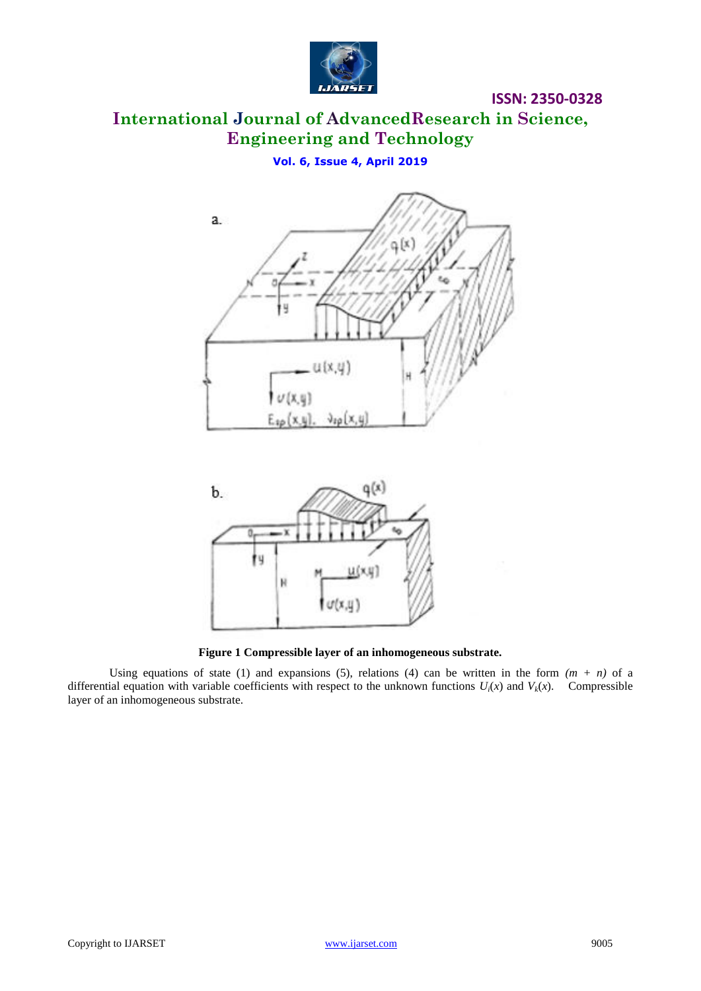

# **International Journal of AdvancedResearch in Science, Engineering and Technology**

**Vol. 6, Issue 4, April 2019**





**Figure 1 Compressible layer of an inhomogeneous substrate.**

Using equations of state (1) and expansions (5), relations (4) can be written in the form  $(m + n)$  of a differential equation with variable coefficients with respect to the unknown functions  $U_i(x)$  and  $V_k(x)$ . Compressible layer of an inhomogeneous substrate.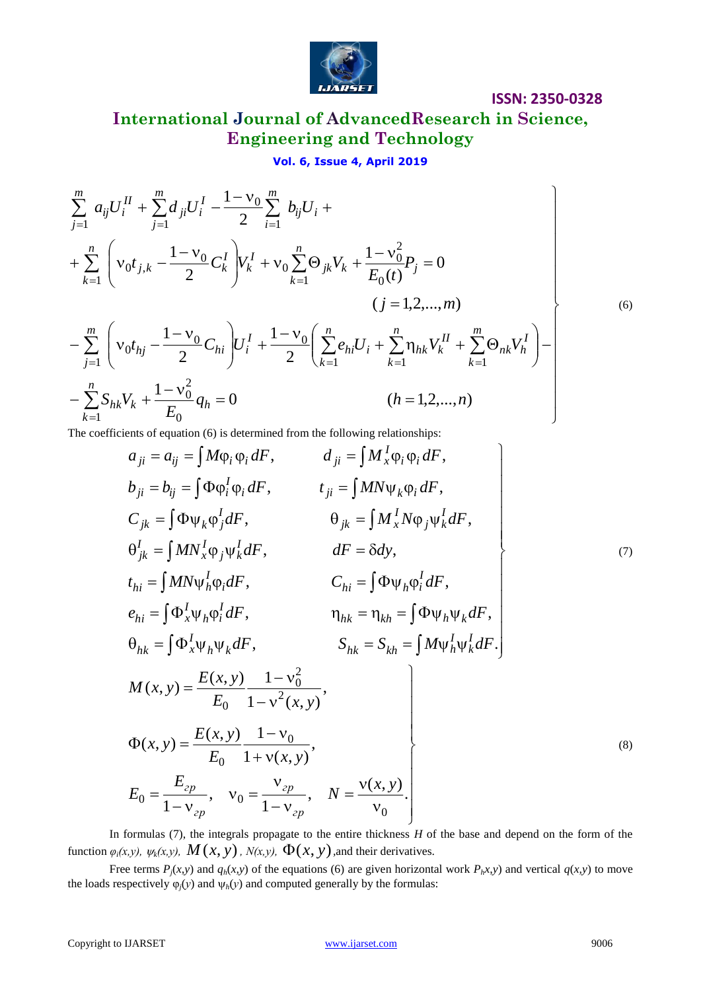

**International Journal of AdvancedResearch in Science, Engineering and Technology**

**Vol. 6, Issue 4, April 2019**

$$
\mathbf{Vol. 6, Issue 4, April 2019}
$$
\n
$$
\sum_{j=1}^{m} a_{ij} U_i^H + \sum_{j=1}^{m} d_{ji} U_i^I - \frac{1 - v_0}{2} \sum_{i=1}^{m} b_{ij} U_i +
$$
\n
$$
+ \sum_{k=1}^{n} \left( v_0 t_{j,k} - \frac{1 - v_0}{2} C_k^I \right) V_k^I + v_0 \sum_{k=1}^{n} \Theta_{jk} V_k + \frac{1 - v_0^2}{E_0(t)} P_j = 0
$$
\n
$$
(j = 1, 2, ..., m)
$$
\n
$$
- \sum_{j=1}^{m} \left( v_0 t_{hj} - \frac{1 - v_0}{2} C_{hi} \right) U_i^I + \frac{1 - v_0}{2} \left( \sum_{k=1}^{n} e_{hi} U_i + \sum_{k=1}^{n} \eta_{hk} V_k^I + \sum_{k=1}^{m} \Theta_{nk} V_h^I \right) -
$$
\n
$$
- \sum_{k=1}^{n} S_{hk} V_k + \frac{1 - v_0^2}{E_0} q_h = 0
$$
\n
$$
(h = 1, 2, ..., n)
$$
\n(10.10)

The coefficients of equation (6) is determined from the following relationships:

$$
a_{ji} = a_{ij} = \int M\varphi_i \varphi_i dF, \qquad d_{ji} = \int M_x^I \varphi_i \varphi_i dF,
$$
  
\n
$$
b_{ji} = b_{ij} = \int \Phi \varphi_i^I \varphi_i dF, \qquad t_{ji} = \int M N \psi_k \varphi_i dF,
$$
  
\n
$$
C_{jk} = \int \Phi \psi_k \varphi_j^I dF, \qquad \theta_{jk} = \int M_x^I N \varphi_j \psi_k^I dF,
$$
  
\n
$$
\theta_{jk}^I = \int M N_x^I \varphi_j \psi_k^I dF, \qquad dF = \delta dy,
$$
  
\n
$$
t_{hi} = \int M N \psi_h^I \varphi_i dF, \qquad C_{hi} = \int \Phi \psi_h \varphi_i^I dF,
$$
  
\n
$$
e_{hi} = \int \Phi_x^I \psi_h \varphi_k^I dF, \qquad \eta_{hk} = \eta_{kh} = \int \Phi \psi_h \psi_k dF,
$$
  
\n
$$
\theta_{hk} = \int \Phi_x^I \psi_h \psi_k dF, \qquad S_{hk} = S_{kh} = \int M \psi_h^I \psi_k^I dF.
$$
  
\n
$$
M(x, y) = \frac{E(x, y)}{E_0} \frac{1 - v_0^2}{1 - v^2(x, y)},
$$
  
\n
$$
E_0 = \frac{E_{2p}}{1 - v_{2p}}, \quad v_0 = \frac{v_{2p}}{1 - v_{2p}}, \quad N = \frac{v(x, y)}{v_0}.
$$
  
\n(8)

In formulas (7), the integrals propagate to the entire thickness *H* of the base and depend on the form of the function  $\varphi_i(x, y)$ ,  $\psi_k(x, y)$ ,  $M(x, y)$ ,  $N(x, y)$ ,  $\Phi(x, y)$ , and their derivatives.

Free terms  $P_i(x, y)$  and  $q_h(x, y)$  of the equations (6) are given horizontal work  $P_h(x, y)$  and vertical  $q(x, y)$  to move the loads respectively  $\varphi_i(y)$  and  $\psi_h(y)$  and computed generally by the formulas: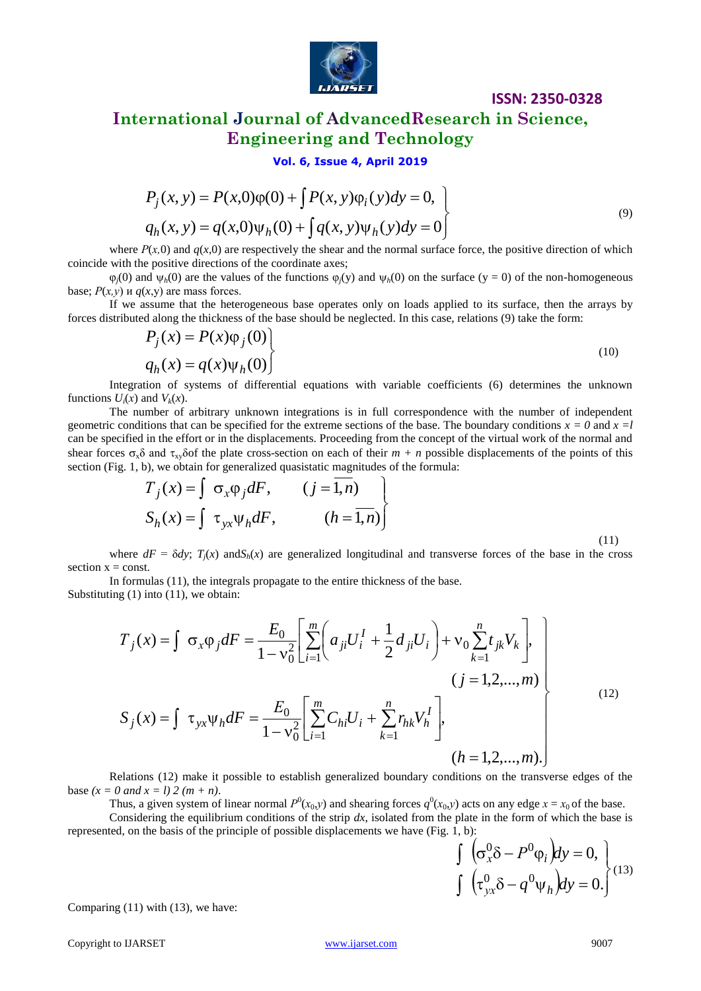

## **International Journal of AdvancedResearch in Science, Engineering and Technology**

**Vol. 6, Issue 4, April 2019**

$$
P_j(x, y) = P(x, 0)\varphi(0) + \int P(x, y)\varphi_i(y)dy = 0,
$$
  
\n
$$
q_h(x, y) = q(x, 0)\psi_h(0) + \int q(x, y)\psi_h(y)dy = 0
$$
\n(9)

where  $P(x,0)$  and  $q(x,0)$  are respectively the shear and the normal surface force, the positive direction of which coincide with the positive directions of the coordinate axes;

 $\varphi_i(0)$  and  $\psi_b(0)$  are the values of the functions  $\varphi_i(y)$  and  $\psi_b(0)$  on the surface (y = 0) of the non-homogeneous base;  $P(x, y)$  и  $q(x, y)$  are mass forces.

If we assume that the heterogeneous base operates only on loads applied to its surface, then the arrays by forces distributed along the thickness of the base should be neglected. In this case, relations (9) take the form:

$$
P_j(x) = P(x)\varphi_j(0)
$$
  
 
$$
q_h(x) = q(x)\psi_h(0)
$$
 (10)

Integration of systems of differential equations with variable coefficients (6) determines the unknown functions  $U_i(x)$  and  $V_k(x)$ .

The number of arbitrary unknown integrations is in full correspondence with the number of independent geometric conditions that can be specified for the extreme sections of the base. The boundary conditions  $x = 0$  and  $x =l$ can be specified in the effort or in the displacements. Proceeding from the concept of the virtual work of the normal and shear forces  $\sigma_x \delta$  and  $\tau_{xy} \delta$  of the plate cross-section on each of their  $m + n$  possible displacements of the points of this section (Fig. 1, b), we obtain for generalized quasistatic magnitudes of the formula:

$$
T_j(x) = \int \sigma_x \varphi_j dF, \qquad (j = \overline{1, n})
$$
  

$$
S_h(x) = \int \tau_{yx} \psi_h dF, \qquad (h = \overline{1, n})
$$
 (11)

where  $dF = \delta dy$ ;  $T_i(x)$  and  $S_h(x)$  are generalized longitudinal and transverse forces of the base in the cross section  $x = const.$ 

In formulas (11), the integrals propagate to the entire thickness of the base. Substituting  $(1)$  into  $(11)$ , we obtain:

$$
T_j(x) = \int \sigma_x \varphi_j dF = \frac{E_0}{1 - v_0^2} \left[ \sum_{i=1}^m \left( a_{ji} U_i^I + \frac{1}{2} d_{ji} U_i \right) + v_0 \sum_{k=1}^n t_{jk} V_k \right],
$$
  
\n
$$
(j = 1, 2, ..., m)
$$
  
\n
$$
S_j(x) = \int \tau_{yx} \psi_h dF = \frac{E_0}{1 - v_0^2} \left[ \sum_{i=1}^m C_{hi} U_i + \sum_{k=1}^n r_{hk} V_h^I \right],
$$
  
\n
$$
(h = 1, 2, ..., m).
$$
  
\n(12)

Relations (12) make it possible to establish generalized boundary conditions on the transverse edges of the base  $(x = 0 \text{ and } x = l) 2 (m + n)$ .

Thus, a given system of linear normal  $P^0(x_0, y)$  and shearing forces  $q^0(x_0, y)$  acts on any edge  $x = x_0$  of the base. Considering the equilibrium conditions of the strip  $dx$ , isolated from the plate in the form of which the base is represented, on the basis of the principle of possible displacements we have (Fig. 1, b):

$$
\int_{a}^{b} \left( \sigma_x^0 \delta - P^0 \varphi_i \right) dy = 0,
$$
\n
$$
\int_{a}^{b} \left( \tau_{yx}^0 \delta - q^0 \psi_h \right) dy = 0.
$$
\n(13)

Comparing (11) with (13), we have: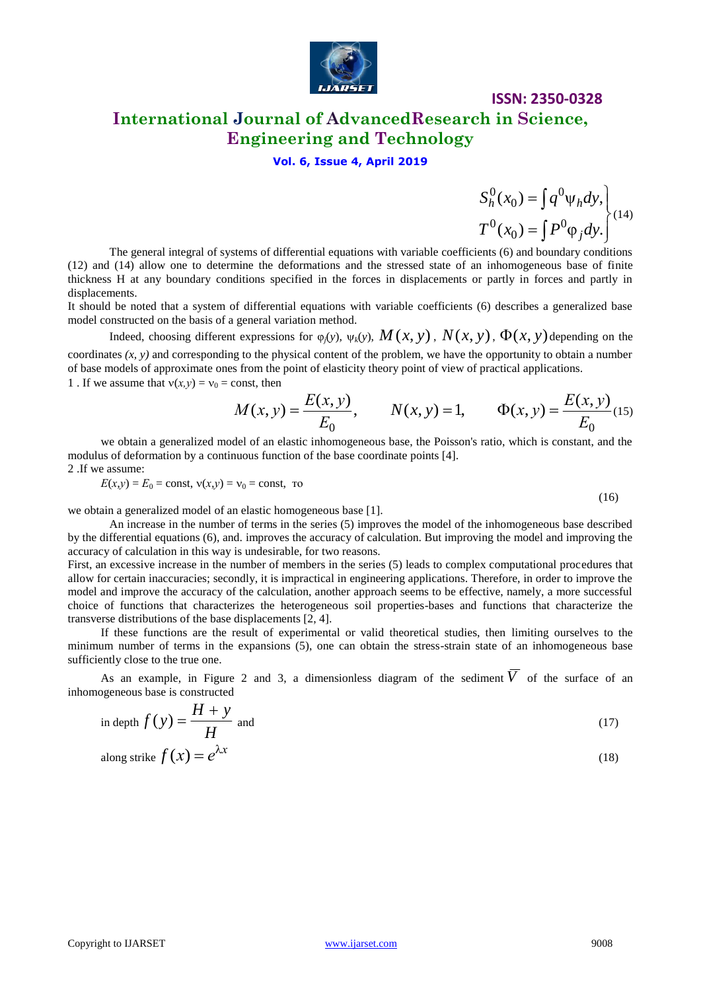

# **ISSN: 2350-0328 International Journal of AdvancedResearch in Science,**

# **Engineering and Technology**

## **Vol. 6, Issue 4, April 2019**

 $\int$  $\overline{\phantom{a}}$  $\left\{ \right\}$  $\vert$  $= \int P^{0} \varphi$  $=\int q^{0}\psi$  $\int$  $\int$  $(x_0) = \int P^0 \varphi_i dy$ .  $(x_0) = \int q^0 \psi_h dy$ , 0 0 0 0 0 0  $T^{0}(x_{0}) = [P^{0} \varphi_{i} dy]$  $S_h^0(x_0) = \int q^0 \psi_h dy$ *j*  $h(x_0) = \int q \psi_h$ (14)

The general integral of systems of differential equations with variable coefficients (6) and boundary conditions (12) and (14) allow one to determine the deformations and the stressed state of an inhomogeneous base of finite thickness H at any boundary conditions specified in the forces in displacements or partly in forces and partly in displacements.

It should be noted that a system of differential equations with variable coefficients (6) describes a generalized base model constructed on the basis of a general variation method.

Indeed, choosing different expressions for  $\varphi_j(y)$ ,  $\psi_k(y)$ ,  $M(x, y)$ ,  $N(x, y)$ ,  $\Phi(x, y)$  depending on the coordinates *(x, y)* and corresponding to the physical content of the problem, we have the opportunity to obtain a number of base models of approximate ones from the point of elasticity theory point of view of practical applications. 1 . If we assume that  $v(x, y) = v_0$  = const, then

$$
M(x, y) = \frac{E(x, y)}{E_0}, \qquad N(x, y) = 1, \qquad \Phi(x, y) = \frac{E(x, y)}{E_0}
$$
(15)

we obtain a generalized model of an elastic inhomogeneous base, the Poisson's ratio, which is constant, and the modulus of deformation by a continuous function of the base coordinate points [4]. 2 .If we assume:

 $E(x,y) = E_0 = \text{const}, v(x,y) = v_0 = \text{const}, \text{ to}$ 

$$
(16)
$$

we obtain a generalized model of an elastic homogeneous base [1].

An increase in the number of terms in the series (5) improves the model of the inhomogeneous base described by the differential equations (6), and. improves the accuracy of calculation. But improving the model and improving the accuracy of calculation in this way is undesirable, for two reasons.

First, an excessive increase in the number of members in the series (5) leads to complex computational procedures that allow for certain inaccuracies; secondly, it is impractical in engineering applications. Therefore, in order to improve the model and improve the accuracy of the calculation, another approach seems to be effective, namely, a more successful choice of functions that characterizes the heterogeneous soil properties-bases and functions that characterize the transverse distributions of the base displacements [2, 4].

If these functions are the result of experimental or valid theoretical studies, then limiting ourselves to the minimum number of terms in the expansions (5), one can obtain the stress-strain state of an inhomogeneous base sufficiently close to the true one.

As an example, in Figure 2 and 3, a dimensionless diagram of the sediment  $V$  of the surface of an inhomogeneous base is constructed

in depth 
$$
f(y) = \frac{H + y}{H}
$$
 and (17)

along strike 
$$
f(x) = e^{\lambda x}
$$
 (18)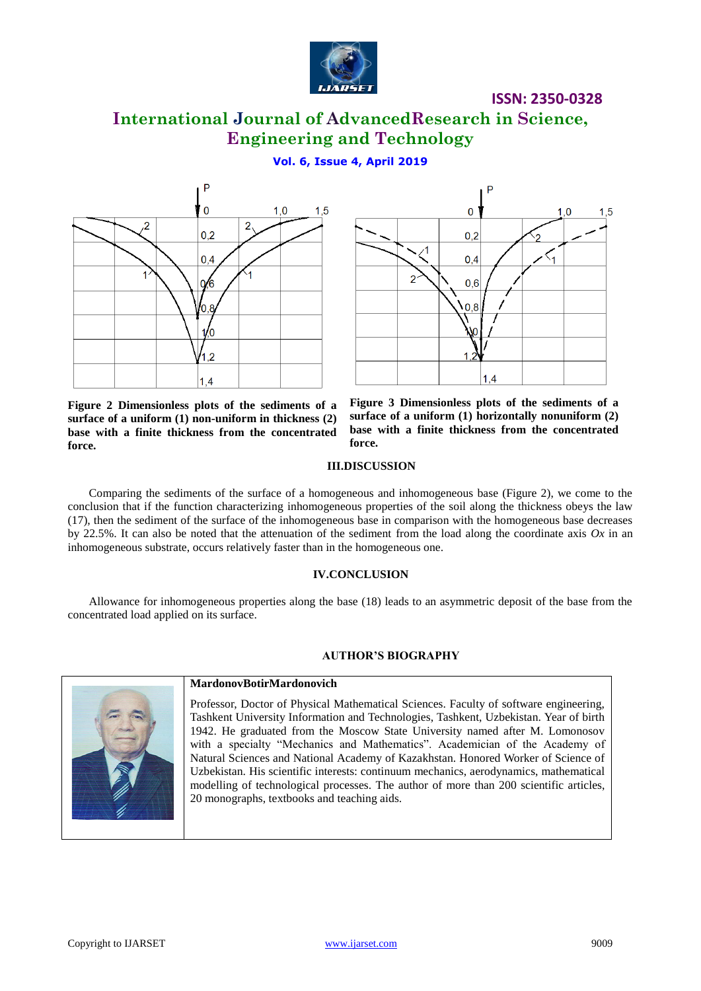

# **International Journal of AdvancedResearch in Science, Engineering and Technology**

**Vol. 6, Issue 4, April 2019**



 $\Omega$  $0,2$  $0,4$  $0.6$  $0.8$  $1,4$ 

**Figure 2 Dimensionless plots of the sediments of a surface of a uniform (1) non-uniform in thickness (2) base with a finite thickness from the concentrated force.**



#### **III.DISCUSSION**

Comparing the sediments of the surface of a homogeneous and inhomogeneous base (Figure 2), we come to the conclusion that if the function characterizing inhomogeneous properties of the soil along the thickness obeys the law (17), then the sediment of the surface of the inhomogeneous base in comparison with the homogeneous base decreases by 22.5%. It can also be noted that the attenuation of the sediment from the load along the coordinate axis *Ox* in an inhomogeneous substrate, occurs relatively faster than in the homogeneous one.

### **IV.CONCLUSION**

Allowance for inhomogeneous properties along the base (18) leads to an asymmetric deposit of the base from the concentrated load applied on its surface.

### **AUTHOR'S BIOGRAPHY**



#### **MardonovBotirMardonovich**

Professor, Doctor of Physical Mathematical Sciences. Faculty of software engineering, Tashkent University Information and Technologies, Tashkent, Uzbekistan. Year of birth 1942. He graduated from the Moscow State University named after M. Lomonosov with a specialty "Mechanics and Mathematics". Academician of the Academy of Natural Sciences and National Academy of Kazakhstan. Honored Worker of Science of Uzbekistan. His scientific interests: continuum mechanics, aerodynamics, mathematical modelling of technological processes. The author of more than 200 scientific articles, 20 monographs, textbooks and teaching aids.